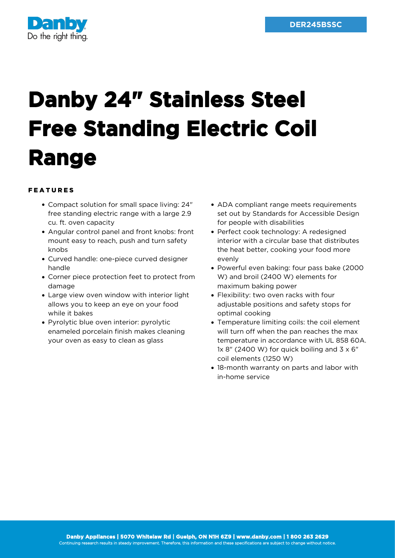

## **Danby 24" Stainless Steel Free Standing Electric Coil Range**

## FEATURES

- Compact solution for small space living: 24" free standing electric range with a large 2.9 cu. ft. oven capacity
- Angular control panel and front knobs: front mount easy to reach, push and turn safety knobs
- Curved handle: one-piece curved designer handle
- Corner piece protection feet to protect from damage
- Large view oven window with interior light allows you to keep an eye on your food while it bakes
- Pyrolytic blue oven interior: pyrolytic enameled porcelain finish makes cleaning your oven as easy to clean as glass
- ADA compliant range meets requirements set out by Standards for Accessible Design for people with disabilities
- Perfect cook technology: A redesigned interior with a circular base that distributes the heat better, cooking your food more evenly
- Powerful even baking: four pass bake (2000 W) and broil (2400 W) elements for maximum baking power
- Flexibility: two oven racks with four adjustable positions and safety stops for optimal cooking
- Temperature limiting coils: the coil element will turn off when the pan reaches the max temperature in accordance with UL 858 60A.  $1x$  8" (2400 W) for quick boiling and  $3 \times 6$ " coil elements (1250 W)
- 18-month warranty on parts and labor with in-home service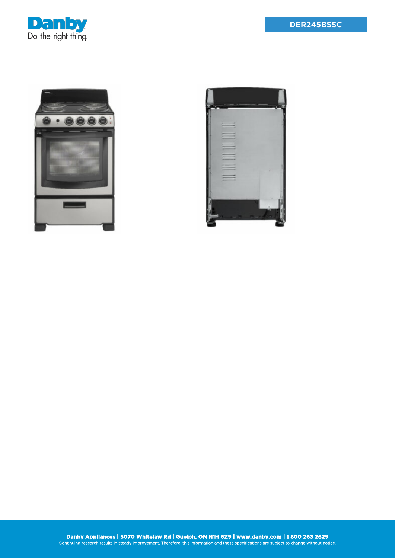